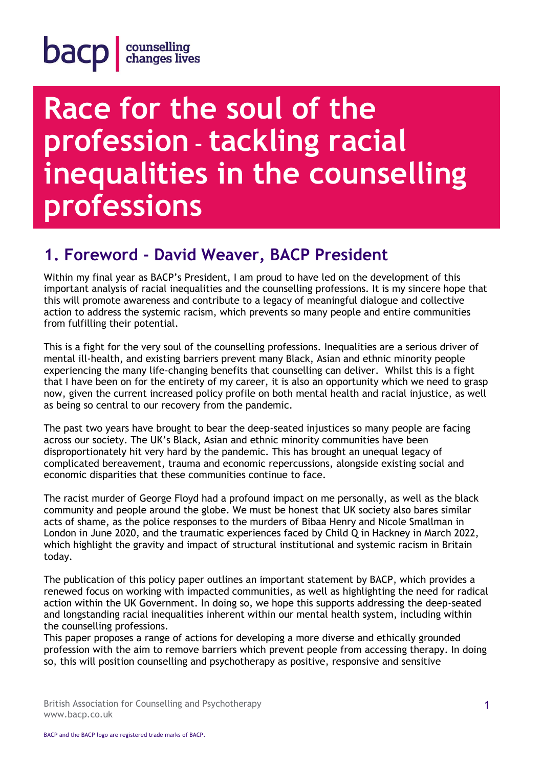### **Race for the soul of the profession – tackling racial inequalities in the counselling professions**

### **1. Foreword - David Weaver, BACP President**

Within my final year as BACP's President, I am proud to have led on the development of this important analysis of racial inequalities and the counselling professions. It is my sincere hope that this will promote awareness and contribute to a legacy of meaningful dialogue and collective action to address the systemic racism, which prevents so many people and entire communities from fulfilling their potential.

This is a fight for the very soul of the counselling professions. Inequalities are a serious driver of mental ill-health, and existing barriers prevent many Black, Asian and ethnic minority people experiencing the many life-changing benefits that counselling can deliver. Whilst this is a fight that I have been on for the entirety of my career, it is also an opportunity which we need to grasp now, given the current increased policy profile on both mental health and racial injustice, as well as being so central to our recovery from the pandemic.

The past two years have brought to bear the deep-seated injustices so many people are facing across our society. The UK's Black, Asian and ethnic minority communities have been disproportionately hit very hard by the pandemic. This has brought an unequal legacy of complicated bereavement, trauma and economic repercussions, alongside existing social and economic disparities that these communities continue to face.

The racist murder of George Floyd had a profound impact on me personally, as well as the black community and people around the globe. We must be honest that UK society also bares similar acts of shame, as the police responses to the murders of Bibaa Henry and Nicole Smallman in London in June 2020, and the traumatic experiences faced by Child Q in Hackney in March 2022, which highlight the gravity and impact of structural institutional and systemic racism in Britain today.

The publication of this policy paper outlines an important statement by BACP, which provides a renewed focus on working with impacted communities, as well as highlighting the need for radical action within the UK Government. In doing so, we hope this supports addressing the deep-seated and longstanding racial inequalities inherent within our mental health system, including within the counselling professions.

This paper proposes a range of actions for developing a more diverse and ethically grounded profession with the aim to remove barriers which prevent people from accessing therapy. In doing so, this will position counselling and psychotherapy as positive, responsive and sensitive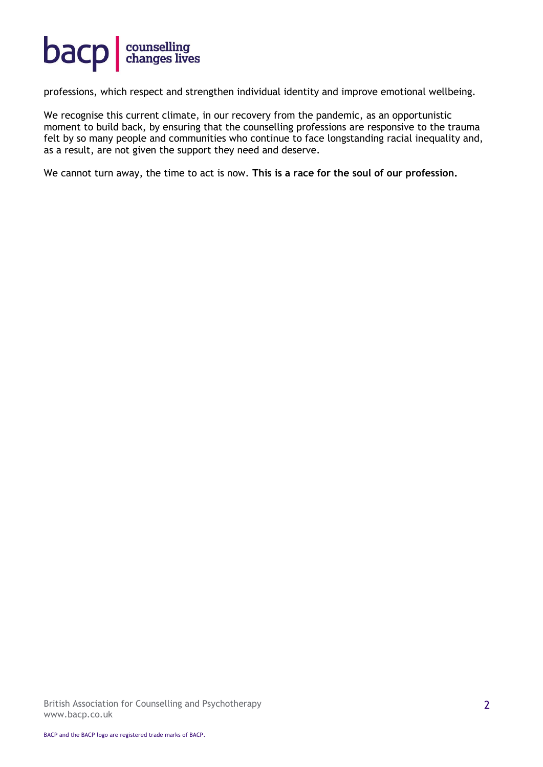

professions, which respect and strengthen individual identity and improve emotional wellbeing.

We recognise this current climate, in our recovery from the pandemic, as an opportunistic moment to build back, by ensuring that the counselling professions are responsive to the trauma felt by so many people and communities who continue to face longstanding racial inequality and, as a result, are not given the support they need and deserve.

We cannot turn away, the time to act is now. **This is a race for the soul of our profession.**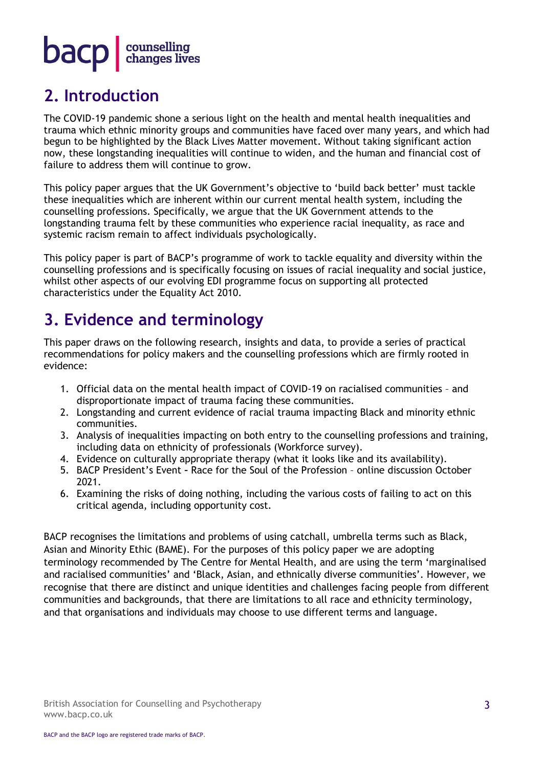#### **2. Introduction**

The COVID-19 pandemic shone a serious light on the health and mental health inequalities and trauma which ethnic minority groups and communities have faced over many years, and which had begun to be highlighted by the Black Lives Matter movement. Without taking significant action now, these longstanding inequalities will continue to widen, and the human and financial cost of failure to address them will continue to grow.

This policy paper argues that the UK Government's objective to 'build back better' must tackle these inequalities which are inherent within our current mental health system, including the counselling professions. Specifically, we argue that the UK Government attends to the longstanding trauma felt by these communities who experience racial inequality, as race and systemic racism remain to affect individuals psychologically.

This policy paper is part of BACP's programme of work to tackle equality and diversity within the counselling professions and is specifically focusing on issues of racial inequality and social justice, whilst other aspects of our evolving EDI programme focus on supporting all protected characteristics under the Equality Act 2010.

#### **3. Evidence and terminology**

This paper draws on the following research, insights and data, to provide a series of practical recommendations for policy makers and the counselling professions which are firmly rooted in evidence:

- 1. Official data on the mental health impact of COVID-19 on racialised communities and disproportionate impact of trauma facing these communities.
- 2. Longstanding and current evidence of racial trauma impacting Black and minority ethnic communities.
- 3. Analysis of inequalities impacting on both entry to the counselling professions and training, including data on ethnicity of professionals (Workforce survey).
- 4. Evidence on culturally appropriate therapy (what it looks like and its availability).
- 5. BACP President's Event **–** Race for the Soul of the Profession online discussion October 2021.
- 6. Examining the risks of doing nothing, including the various costs of failing to act on this critical agenda, including opportunity cost.

BACP recognises the limitations and problems of using catchall, umbrella terms such as Black, Asian and Minority Ethic (BAME). For the purposes of this policy paper we are adopting terminology recommended by The Centre for Mental Health, and are using the term 'marginalised and racialised communities' and 'Black, Asian, and ethnically diverse communities'. However, we recognise that there are distinct and unique identities and challenges facing people from different communities and backgrounds, that there are limitations to all race and ethnicity terminology, and that organisations and individuals may choose to use different terms and language.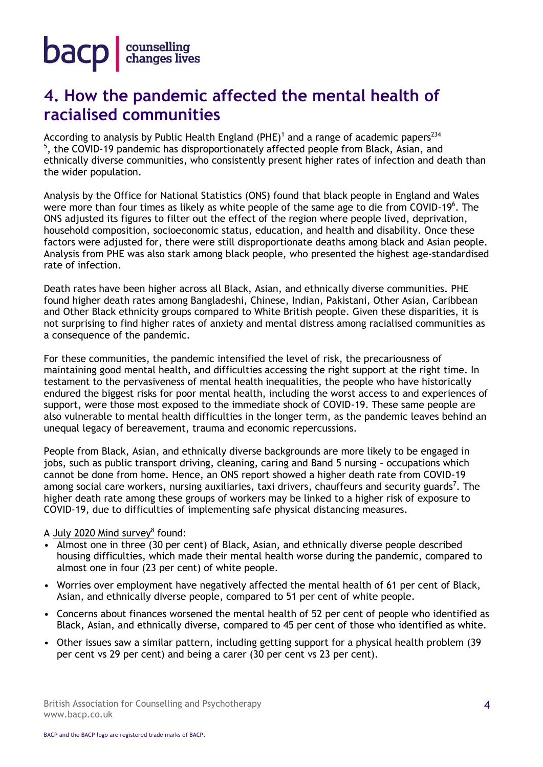

#### **4. How the pandemic affected the mental health of racialised communities**

According to analysis by Public Health England (PHE) $^1$  and a range of academic papers $^{234}$ <sup>5</sup>, the COVID-19 pandemic has disproportionately affected people from Black, Asian, and ethnically diverse communities, who consistently present higher rates of infection and death than the wider population.

Analysis by the Office for National Statistics (ONS) found that black people in England and Wales were more than four times as likely as white people of the same age to die from COVID-19<sup>6</sup>. The ONS adjusted its figures to filter out the effect of the region where people lived, deprivation, household composition, socioeconomic status, education, and health and disability. Once these factors were adjusted for, there were still disproportionate deaths among black and Asian people. Analysis from PHE was also stark among black people, who presented the highest age-standardised rate of infection.

Death rates have been higher across all Black, Asian, and ethnically diverse communities. PHE found higher death rates among Bangladeshi, Chinese, Indian, Pakistani, Other Asian, Caribbean and Other Black ethnicity groups compared to White British people. Given these disparities, it is not surprising to find higher rates of anxiety and mental distress among racialised communities as a consequence of the pandemic.

For these communities, the pandemic intensified the level of risk, the precariousness of maintaining good mental health, and difficulties accessing the right support at the right time. In testament to the pervasiveness of mental health inequalities, the people who have historically endured the biggest risks for poor mental health, including the worst access to and experiences of support, were those most exposed to the immediate shock of COVID-19. These same people are also vulnerable to mental health difficulties in the longer term, as the pandemic leaves behind an unequal legacy of bereavement, trauma and economic repercussions.

People from Black, Asian, and ethnically diverse backgrounds are more likely to be engaged in jobs, such as public transport driving, cleaning, caring and Band 5 nursing – occupations which cannot be done from home. Hence, an ONS report showed a higher death rate from COVID-19 among social care workers, nursing auxiliaries, taxi drivers, chauffeurs and security guards<sup>7</sup>. The higher death rate among these groups of workers may be linked to a higher risk of exposure to COVID-19, due to difficulties of implementing safe physical distancing measures.

#### A [July 2020 Mind survey](https://www.mind.org.uk/news-campaigns/news/existing-inequalities-have-made-mental-health-of-bame-groups-worse-during-pandemic-says-mind/)<sup>8</sup> found:

- Almost one in three (30 per cent) of Black, Asian, and ethnically diverse people described housing difficulties, which made their mental health worse during the pandemic, compared to almost one in four (23 per cent) of white people.
- Worries over employment have negatively affected the mental health of 61 per cent of Black, Asian, and ethnically diverse people, compared to 51 per cent of white people.
- Concerns about finances worsened the mental health of 52 per cent of people who identified as Black, Asian, and ethnically diverse, compared to 45 per cent of those who identified as white.
- Other issues saw a similar pattern, including getting support for a physical health problem (39 per cent vs 29 per cent) and being a carer (30 per cent vs 23 per cent).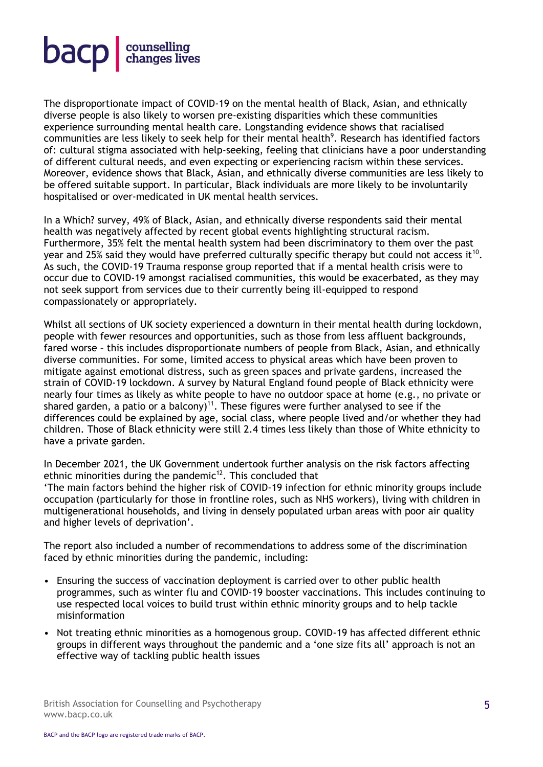

The disproportionate impact of COVID-19 on the mental health of Black, Asian, and ethnically diverse people is also likely to worsen pre-existing disparities which these communities experience surrounding mental health care. Longstanding evidence shows that racialised communities are less likely to seek help for their mental health<sup>9</sup>. Research has identified factors of: cultural stigma associated with help-seeking, feeling that clinicians have a poor understanding of different cultural needs, and even expecting or experiencing racism within these services. Moreover, evidence shows that Black, Asian, and ethnically diverse communities are less likely to be offered suitable support. In particular, Black individuals are more likely to be involuntarily hospitalised or over-medicated in UK mental health services.

In a Which? survey, 49% of Black, Asian, and ethnically diverse respondents said their mental health was negatively affected by recent global events highlighting structural racism. Furthermore, 35% felt the mental health system had been discriminatory to them over the past year and 25% said they would have preferred culturally specific therapy but could not access it  $^{10}$ . As such, the COVID-19 Trauma response group reported that if a mental health crisis were to occur due to COVID-19 amongst racialised communities, this would be exacerbated, as they may not seek support from services due to their currently being ill-equipped to respond compassionately or appropriately.

Whilst all sections of UK society experienced a downturn in their mental health during lockdown, people with fewer resources and opportunities, such as those from less affluent backgrounds, fared worse – this includes disproportionate numbers of people from Black, Asian, and ethnically diverse communities. For some, limited access to physical areas which have been proven to mitigate against emotional distress, such as green spaces and private gardens, increased the strain of COVID-19 lockdown. A survey by Natural England found people of Black ethnicity were nearly four times as likely as white people to have no outdoor space at home (e.g., no private or shared garden, a patio or a balcony)<sup>11</sup>. These figures were further analysed to see if the differences could be explained by age, social class, where people lived and/or whether they had children. Those of Black ethnicity were still 2.4 times less likely than those of White ethnicity to have a private garden.

In December 2021, the UK Government undertook further analysis on the risk factors affecting ethnic minorities during the pandemic $12$ . This concluded that

'The main factors behind the higher risk of COVID-19 infection for ethnic minority groups include occupation (particularly for those in frontline roles, such as NHS workers), living with children in multigenerational households, and living in densely populated urban areas with poor air quality and higher levels of deprivation'.

The report also included a number of recommendations to address some of the discrimination faced by ethnic minorities during the pandemic, including:

- Ensuring the success of vaccination deployment is carried over to other public health programmes, such as winter flu and COVID-19 booster vaccinations. This includes continuing to use respected local voices to build trust within ethnic minority groups and to help tackle misinformation
- Not treating ethnic minorities as a homogenous group. COVID-19 has affected different ethnic groups in different ways throughout the pandemic and a 'one size fits all' approach is not an effective way of tackling public health issues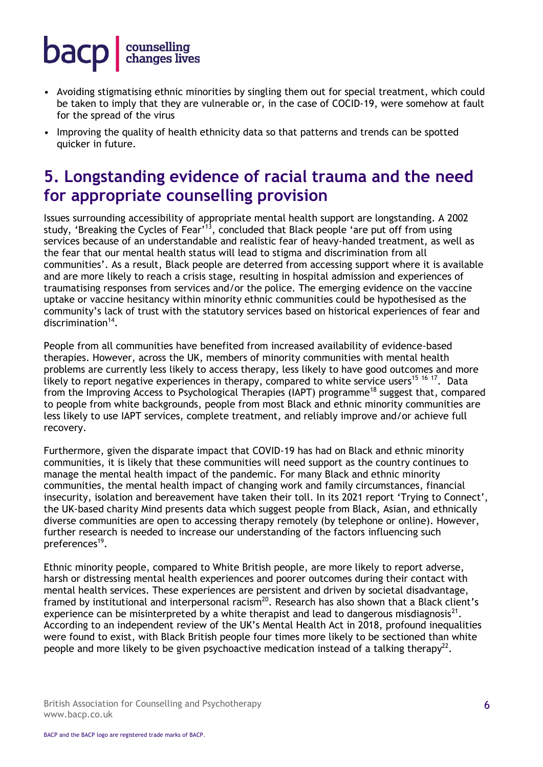- Avoiding stigmatising ethnic minorities by singling them out for special treatment, which could be taken to imply that they are vulnerable or, in the case of COCID-19, were somehow at fault for the spread of the virus
- Improving the quality of health ethnicity data so that patterns and trends can be spotted quicker in future.

#### **5. Longstanding evidence of racial trauma and the need for appropriate counselling provision**

Issues surrounding accessibility of appropriate mental health support are longstanding. A 2002 study, 'Breaking the Cycles of Fear'<sup>13</sup>, concluded that Black people 'are put off from using services because of an understandable and realistic fear of heavy-handed treatment, as well as the fear that our mental health status will lead to stigma and discrimination from all communities'. As a result, Black people are deterred from accessing support where it is available and are more likely to reach a crisis stage, resulting in hospital admission and experiences of traumatising responses from services and/or the police. The emerging evidence on the vaccine uptake or vaccine hesitancy within minority ethnic communities could be hypothesised as the community's lack of trust with the statutory services based on historical experiences of fear and discrimination<sup>14</sup>.

People from all communities have benefited from increased availability of evidence-based therapies. However, across the UK, members of minority communities with mental health problems are currently less likely to access therapy, less likely to have good outcomes and more likely to report negative experiences in therapy, compared to white service users<sup>15 16 17</sup>. Data from the Improving Access to Psychological Therapies (IAPT) programme<sup>18</sup> suggest that, compared to people from white backgrounds, people from most Black and ethnic minority communities are less likely to use IAPT services, complete treatment, and reliably improve and/or achieve full recovery.

Furthermore, given the disparate impact that COVID-19 has had on Black and ethnic minority communities, it is likely that these communities will need support as the country continues to manage the mental health impact of the pandemic. For many Black and ethnic minority communities, the mental health impact of changing work and family circumstances, financial insecurity, isolation and bereavement have taken their toll. In its 2021 report 'Trying to Connect', the UK-based charity Mind presents data which suggest people from Black, Asian, and ethnically diverse communities are open to accessing therapy remotely (by telephone or online). However, further research is needed to increase our understanding of the factors influencing such preferences<sup>19</sup>.

Ethnic minority people, compared to White British people, are more likely to report adverse, harsh or distressing mental health experiences and poorer outcomes during their contact with mental health services. These experiences are persistent and driven by societal disadvantage, framed by institutional and interpersonal racism<sup>20</sup>. Research has also shown that a Black client's experience can be misinterpreted by a white therapist and lead to dangerous misdiagnosis<sup>21</sup>. According to an independent review of the UK's Mental Health Act in 2018, profound inequalities were found to exist, with Black British people four times more likely to be sectioned than white people and more likely to be given psychoactive medication instead of a talking therapy<sup>22</sup>.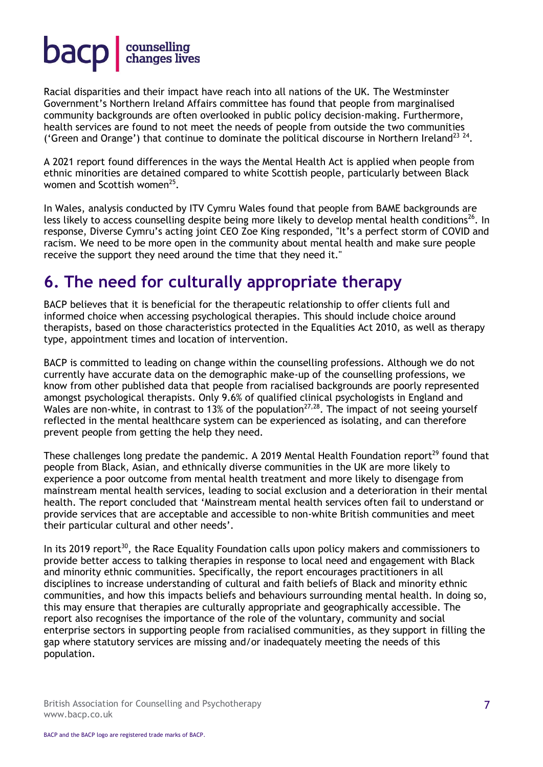Racial disparities and their impact have reach into all nations of the UK. The Westminster Government's Northern Ireland Affairs committee has found that people from marginalised community backgrounds are often overlooked in public policy decision-making. Furthermore, health services are found to not meet the needs of people from outside the two communities ('Green and Orange') that continue to dominate the political discourse in Northern Ireland<sup>23</sup><sup>24</sup>.

A 2021 report found differences in the ways the Mental Health Act is applied when people from ethnic minorities are detained compared to white Scottish people, particularly between Black women and Scottish women<sup>25</sup>.

In Wales, analysis conducted by ITV Cymru Wales found that people from BAME backgrounds are less likely to access counselling despite being more likely to develop mental health conditions<sup>26</sup>. In response, Diverse Cymru's acting joint CEO Zoe King responded, ''It's a perfect storm of COVID and racism. We need to be more open in the community about mental health and make sure people receive the support they need around the time that they need it.''

#### **6. The need for culturally appropriate therapy**

BACP believes that it is beneficial for the therapeutic relationship to offer clients full and informed choice when accessing psychological therapies. This should include choice around therapists, based on those characteristics protected in the Equalities Act 2010, as well as therapy type, appointment times and location of intervention.

BACP is committed to leading on change within the counselling professions. Although we do not currently have accurate data on the demographic make-up of the counselling professions, we know from other published data that people from racialised backgrounds are poorly represented amongst psychological therapists. Only 9.6% of qualified clinical psychologists in England and Wales are non-white, in contrast to 13% of the population<sup>27,28</sup>. The impact of not seeing yourself reflected in the mental healthcare system can be experienced as isolating, and can therefore prevent people from getting the help they need.

These challenges long predate the pandemic. A 2019 [Mental Health Foundation](https://www.mentalhealth.org.uk/a-to-z/b/black-asian-and-minority-ethnic-bame-communities) report<sup>29</sup> found that people from Black, Asian, and ethnically diverse communities in the UK are more likely to experience a poor outcome from mental health treatment and more likely to disengage from mainstream mental health services, leading to social exclusion and a deterioration in their mental health. The report concluded that 'Mainstream mental health services often fail to understand or provide services that are acceptable and accessible to non-white British communities and meet their particular cultural and other needs'.

In its 2019 report<sup>30</sup>, the Race Equality Foundation calls upon policy makers and commissioners to provide better access to talking therapies in response to local need and engagement with Black and minority ethnic communities. Specifically, the report encourages practitioners in all disciplines to increase understanding of cultural and faith beliefs of Black and minority ethnic communities, and how this impacts beliefs and behaviours surrounding mental health. In doing so, this may ensure that therapies are culturally appropriate and geographically accessible. The report also recognises the importance of the role of the voluntary, community and social enterprise sectors in supporting people from racialised communities, as they support in filling the gap where statutory services are missing and/or inadequately meeting the needs of this population.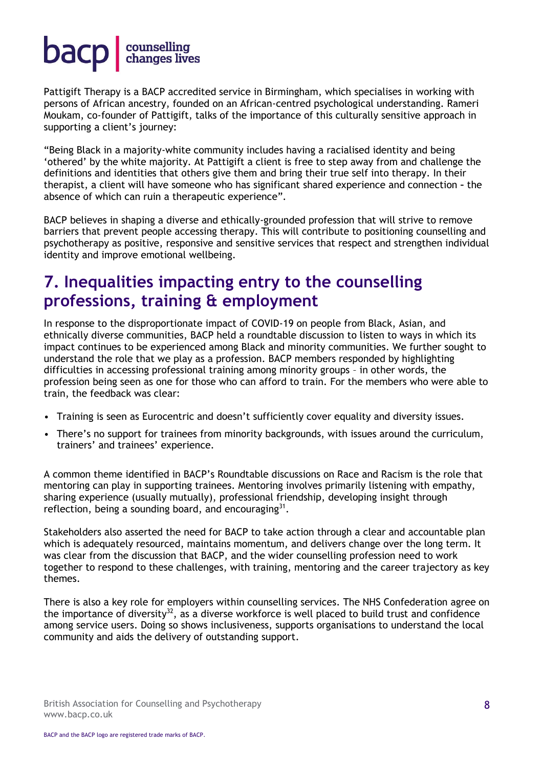Pattigift Therapy is a BACP accredited service in Birmingham, which specialises in working with persons of African ancestry, founded on an African-centred psychological understanding. Rameri Moukam, co-founder of Pattigift, talks of the importance of this culturally sensitive approach in supporting a client's journey:

"Being Black in a majority-white community includes having a racialised identity and being 'othered' by the white majority. At Pattigift a client is free to step away from and challenge the definitions and identities that others give them and bring their true self into therapy. In their therapist, a client will have someone who has significant shared experience and connection **–** the absence of which can ruin a therapeutic experience".

BACP believes in shaping a diverse and ethically-grounded profession that will strive to remove barriers that prevent people accessing therapy. This will contribute to positioning counselling and psychotherapy as positive, responsive and sensitive services that respect and strengthen individual identity and improve emotional wellbeing.

#### **7. Inequalities impacting entry to the counselling professions, training & employment**

In response to the disproportionate impact of COVID-19 on people from Black, Asian, and ethnically diverse communities, BACP held a roundtable discussion to listen to ways in which its impact continues to be experienced among Black and minority communities. We further sought to understand the role that we play as a profession. BACP members responded by highlighting difficulties in accessing professional training among minority groups – in other words, the profession being seen as one for those who can afford to train. For the members who were able to train, the feedback was clear:

- Training is seen as Eurocentric and doesn't sufficiently cover equality and diversity issues.
- There's no support for trainees from minority backgrounds, with issues around the curriculum, trainers' and trainees' experience.

A common theme identified in BACP's Roundtable discussions on Race and Racism is the role that mentoring can play in supporting trainees. Mentoring involves primarily listening with empathy, sharing experience (usually mutually), professional friendship, developing insight through reflection, being a sounding board, and encouraging $^{31}$ .

Stakeholders also asserted the need for BACP to take action through a clear and accountable plan which is adequately resourced, maintains momentum, and delivers change over the long term. It was clear from the discussion that BACP, and the wider counselling profession need to work together to respond to these challenges, with training, mentoring and the career trajectory as key themes.

There is also a key role for employers within counselling services. The NHS Confederation agree on the importance of diversity<sup>32</sup>, as a diverse workforce is well placed to build trust and confidence among service users. Doing so shows inclusiveness, supports organisations to understand the local community and aids the delivery of outstanding support.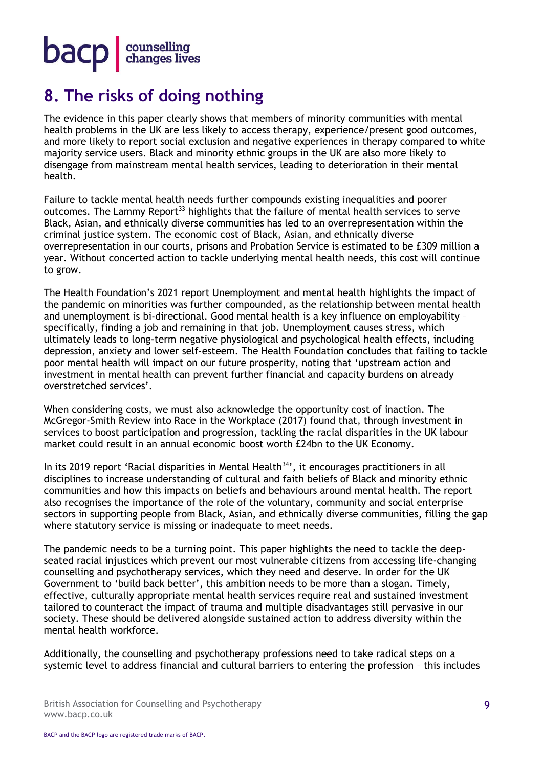### **8. The risks of doing nothing**

The evidence in this paper clearly shows that members of minority communities with mental health problems in the UK are less likely to access therapy, experience/present good outcomes, and more likely to report social exclusion and negative experiences in therapy compared to white majority service users. Black and minority ethnic groups in the UK are also more likely to disengage from mainstream mental health services, leading to deterioration in their mental health.

Failure to tackle mental health needs further compounds existing inequalities and poorer outcomes. The Lammy Report<sup>33</sup> highlights that the failure of mental health services to serve Black, Asian, and ethnically diverse communities has led to an overrepresentation within the criminal justice system. The economic cost of Black, Asian, and ethnically diverse overrepresentation in our courts, prisons and Probation Service is estimated to be £309 million a year. Without concerted action to tackle underlying mental health needs, this cost will continue to grow.

The Health Foundation's 2021 report Unemployment and mental health highlights the impact of the pandemic on minorities was further compounded, as the relationship between mental health and unemployment is bi-directional. Good mental health is a key influence on employability – specifically, finding a job and remaining in that job. Unemployment causes stress, which ultimately leads to long-term negative physiological and psychological health effects, including depression, anxiety and lower self-esteem. The Health Foundation concludes that failing to tackle poor mental health will impact on our future prosperity, noting that 'upstream action and investment in mental health can prevent further financial and capacity burdens on already overstretched services'.

When considering costs, we must also acknowledge the opportunity cost of inaction. The McGregor-Smith Review into Race in the Workplace (2017) found that, through investment in services to boost participation and progression, tackling the racial disparities in the UK labour market could result in an annual economic boost worth £24bn to the UK Economy.

In its 2019 report 'Racial disparities in Mental Health<sup>34</sup>', it encourages practitioners in all disciplines to increase understanding of cultural and faith beliefs of Black and minority ethnic communities and how this impacts on beliefs and behaviours around mental health. The report also recognises the importance of the role of the voluntary, community and social enterprise sectors in supporting people from Black, Asian, and ethnically diverse communities, filling the gap where statutory service is missing or inadequate to meet needs.

The pandemic needs to be a turning point. This paper highlights the need to tackle the deepseated racial injustices which prevent our most vulnerable citizens from accessing life-changing counselling and psychotherapy services, which they need and deserve. In order for the UK Government to 'build back better', this ambition needs to be more than a slogan. Timely, effective, culturally appropriate mental health services require real and sustained investment tailored to counteract the impact of trauma and multiple disadvantages still pervasive in our society. These should be delivered alongside sustained action to address diversity within the mental health workforce.

Additionally, the counselling and psychotherapy professions need to take radical steps on a systemic level to address financial and cultural barriers to entering the profession – this includes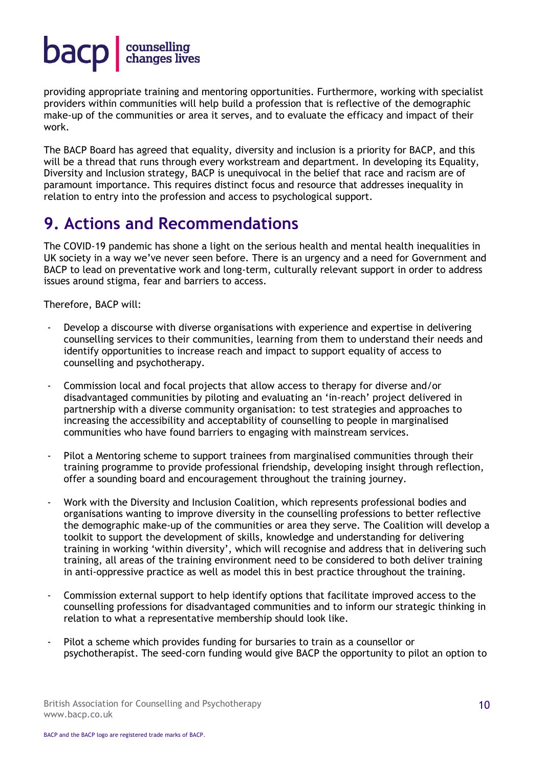providing appropriate training and mentoring opportunities. Furthermore, working with specialist providers within communities will help build a profession that is reflective of the demographic make-up of the communities or area it serves, and to evaluate the efficacy and impact of their work.

The BACP Board has agreed that equality, diversity and inclusion is a priority for BACP, and this will be a thread that runs through every workstream and department. In developing its Equality, Diversity and Inclusion strategy, BACP is unequivocal in the belief that race and racism are of paramount importance. This requires distinct focus and resource that addresses inequality in relation to entry into the profession and access to psychological support.

#### **9. Actions and Recommendations**

The COVID-19 pandemic has shone a light on the serious health and mental health inequalities in UK society in a way we've never seen before. There is an urgency and a need for Government and BACP to lead on preventative work and long-term, culturally relevant support in order to address issues around stigma, fear and barriers to access.

Therefore, BACP will:

- Develop a discourse with diverse organisations with experience and expertise in delivering counselling services to their communities, learning from them to understand their needs and identify opportunities to increase reach and impact to support equality of access to counselling and psychotherapy.
- Commission local and focal projects that allow access to therapy for diverse and/or disadvantaged communities by piloting and evaluating an 'in-reach' project delivered in partnership with a diverse community organisation: to test strategies and approaches to increasing the accessibility and acceptability of counselling to people in marginalised communities who have found barriers to engaging with mainstream services.
- Pilot a Mentoring scheme to support trainees from marginalised communities through their training programme to provide professional friendship, developing insight through reflection, offer a sounding board and encouragement throughout the training journey.
- Work with the Diversity and Inclusion Coalition, which represents professional bodies and organisations wanting to improve diversity in the counselling professions to better reflective the demographic make-up of the communities or area they serve. The Coalition will develop a toolkit to support the development of skills, knowledge and understanding for delivering training in working 'within diversity', which will recognise and address that in delivering such training, all areas of the training environment need to be considered to both deliver training in anti-oppressive practice as well as model this in best practice throughout the training.
- Commission external support to help identify options that facilitate improved access to the counselling professions for disadvantaged communities and to inform our strategic thinking in relation to what a representative membership should look like.
- Pilot a scheme which provides funding for bursaries to train as a counsellor or psychotherapist. The seed-corn funding would give BACP the opportunity to pilot an option to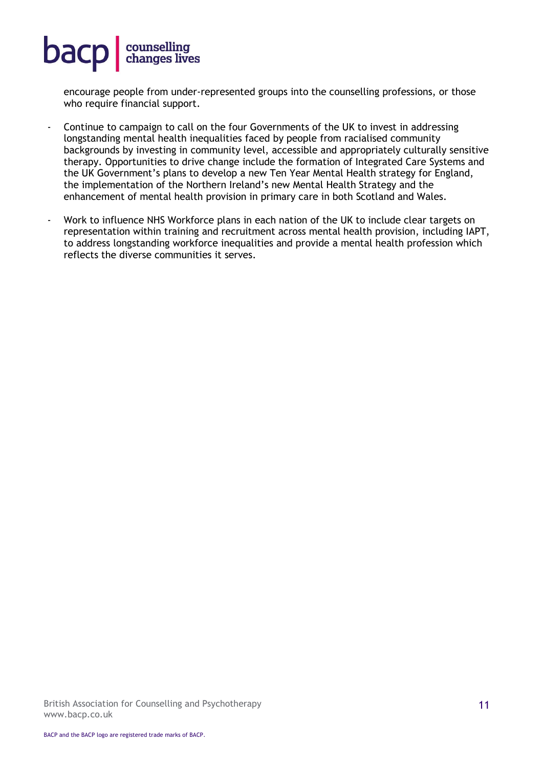encourage people from under-represented groups into the counselling professions, or those who require financial support.

- Continue to campaign to call on the four Governments of the UK to invest in addressing longstanding mental health inequalities faced by people from racialised community backgrounds by investing in community level, accessible and appropriately culturally sensitive therapy. Opportunities to drive change include the formation of Integrated Care Systems and the UK Government's plans to develop a new Ten Year Mental Health strategy for England, the implementation of the Northern Ireland's new Mental Health Strategy and the enhancement of mental health provision in primary care in both Scotland and Wales.
- Work to influence NHS Workforce plans in each nation of the UK to include clear targets on representation within training and recruitment across mental health provision, including IAPT, to address longstanding workforce inequalities and provide a mental health profession which reflects the diverse communities it serves.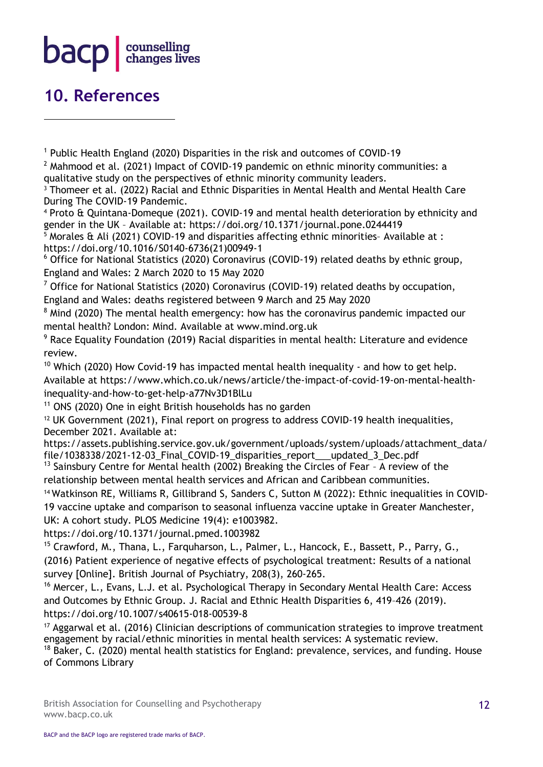#### $\mathsf{bacp}$ counselling<br>changes lives

#### **10. References**

<sup>1</sup> Public Health England (2020) Disparities in the risk and outcomes of COVID-19

 $<sup>2</sup>$  Mahmood et al. (2021) Impact of COVID-19 pandemic on ethnic minority communities: a</sup> qualitative study on the perspectives of ethnic minority community leaders.

<sup>3</sup> Thomeer et al. (2022) Racial and Ethnic Disparities in Mental Health and Mental Health Care During The COVID-19 Pandemic.

<sup>4</sup> Proto & Quintana-Domeque (2021). COVID-19 and mental health deterioration by ethnicity and gender in the UK – Available at: https://doi.org/10.1371/journal.pone.0244419

 $5$  Morales & Ali (2021) COVID-19 and disparities affecting ethnic minorities-Available at : https://doi.org/10.1016/S0140-6736(21)00949-1

<sup>6</sup> Office for National Statistics (2020) Coronavirus (COVID-19) related deaths by ethnic group, England and Wales: 2 March 2020 to 15 May 2020

 $7$  Office for National Statistics (2020) Coronavirus (COVID-19) related deaths by occupation, England and Wales: deaths registered between 9 March and 25 May 2020

<sup>8</sup> Mind (2020) The mental health emergency: how has the coronavirus pandemic impacted our mental health? London: Mind. Available at www.mind.org.uk

<sup>9</sup> Race Equality Foundation (2019) Racial disparities in mental health: Literature and evidence review.

<sup>10</sup> Which (2020) How Covid-19 has impacted mental health inequality - and how to get help. Available at https://www.which.co.uk/news/article/the-impact-of-covid-19-on-mental-healthinequality-and-how-to-get-help-a77Nv3D1BlLu

 $11$  ONS (2020) One in eight British households has no garden

<sup>12</sup> UK Government (2021), Final report on progress to address COVID-19 health inequalities, December 2021. Available at:

https://assets.publishing.service.gov.uk/government/uploads/system/uploads/attachment\_data/ file/1038338/2021-12-03\_Final\_COVID-19\_disparities\_report\_\_\_updated\_3\_Dec.pdf

 $13$  Sainsbury Centre for Mental health (2002) Breaking the Circles of Fear - A review of the relationship between mental health services and African and Caribbean communities.

<sup>14</sup> Watkinson RE, Williams R, Gillibrand S, Sanders C, Sutton M (2022): Ethnic inequalities in COVID-19 vaccine uptake and comparison to seasonal influenza vaccine uptake in Greater Manchester, UK: A cohort study. PLOS Medicine 19(4): e1003982.

https://doi.org/10.1371/journal.pmed.1003982

<sup>15</sup> Crawford, M., Thana, L., Farquharson, L., Palmer, L., Hancock, E., Bassett, P., Parry, G., (2016) Patient experience of negative effects of psychological treatment: Results of a national survey [Online]. British Journal of Psychiatry, 208(3), 260-265.

<sup>16</sup> Mercer, L., Evans, L.J. et al. Psychological Therapy in Secondary Mental Health Care: Access and Outcomes by Ethnic Group. J. Racial and Ethnic Health Disparities 6, 419–426 (2019). https://doi.org/10.1007/s40615-018-00539-8

<sup>17</sup> Aggarwal et al. (2016) Clinician descriptions of communication strategies to improve treatment engagement by racial/ethnic minorities in mental health services: A systematic review.

 $18$  Baker, C. (2020) mental health statistics for England: prevalence, services, and funding. House of Commons Library